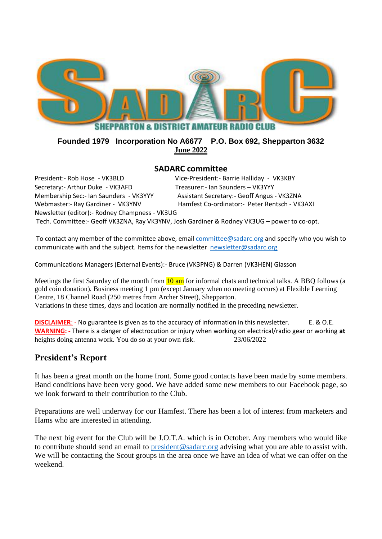

### **Founded 1979 Incorporation No A6677 P.O. Box 692, Shepparton 3632 June 2022**

#### **SADARC committee**

President:- Rob Hose - VK3BLD Vice-President:- Barrie Halliday - VK3KBY Secretary:- Arthur Duke - VK3AFD Treasurer:- Ian Saunders - VK3YYY Membership Sec:- Ian Saunders - VK3YYY Assistant Secretary:- Geoff Angus - VK3ZNA Webmaster:- Ray Gardiner - VK3YNV Hamfest Co-ordinator:- Peter Rentsch - VK3AXI Newsletter (editor):- Rodney Champness - VK3UG Tech. Committee:- Geoff VK3ZNA, Ray VK3YNV, Josh Gardiner & Rodney VK3UG – power to co-opt.

To contact any member of the committee above, email [committee@sadarc.org](mailto:committee@sadarc.org) and specify who you wish to communicate with and the subject. Items for the newsletter [newsletter@sadarc.org](mailto:newsletter@sadarc.org)

Communications Managers (External Events):- Bruce (VK3PNG) & Darren (VK3HEN) Glasson

Meetings the first Saturday of the month from  $\frac{10 \text{ am}}{10 \text{ am}}$  for informal chats and technical talks. A BBQ follows (a gold coin donation). Business meeting 1 pm (except January when no meeting occurs) at Flexible Learning Centre, 18 Channel Road (250 metres from Archer Street), Shepparton. Variations in these times, days and location are normally notified in the preceding newsletter.

**DISCLAIMER:** - No guarantee is given as to the accuracy of information in this newsletter. E. & O.E. **WARNING: -** There is a danger of electrocution or injury when working on electrical/radio gear or working **at**  heights doing antenna work. You do so at your own risk. 23/06/2022

## **President's Report**

It has been a great month on the home front. Some good contacts have been made by some members. Band conditions have been very good. We have added some new members to our Facebook page, so we look forward to their contribution to the Club.

Preparations are well underway for our Hamfest. There has been a lot of interest from marketers and Hams who are interested in attending.

The next big event for the Club will be J.O.T.A. which is in October. Any members who would like to contribute should send an email to [president@sadarc.org](mailto:president@sadarc.org) advising what you are able to assist with. We will be contacting the Scout groups in the area once we have an idea of what we can offer on the weekend.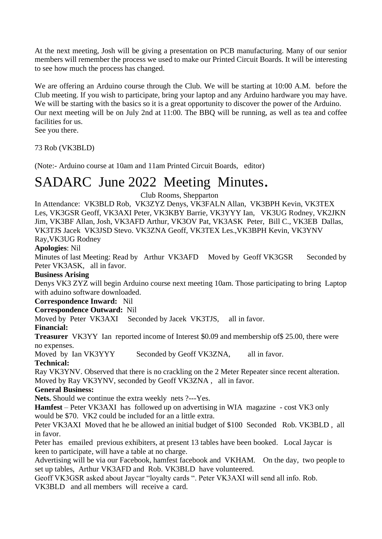At the next meeting, Josh will be giving a presentation on PCB manufacturing. Many of our senior members will remember the process we used to make our Printed Circuit Boards. It will be interesting to see how much the process has changed.

We are offering an Arduino course through the Club. We will be starting at 10:00 A.M. before the Club meeting. If you wish to participate, bring your laptop and any Arduino hardware you may have. We will be starting with the basics so it is a great opportunity to discover the power of the Arduino. Our next meeting will be on July 2nd at 11:00. The BBQ will be running, as well as tea and coffee facilities for us.

See you there.

73 Rob (VK3BLD)

(Note:- Arduino course at 10am and 11am Printed Circuit Boards, editor)

# SADARC June 2022 Meeting Minutes.

Club Rooms, Shepparton

In Attendance: VK3BLD Rob, VK3ZYZ Denys, VK3FALN Allan, VK3BPH Kevin, VK3TEX Les, VK3GSR Geoff, VK3AXI Peter, VK3KBY Barrie, VK3YYY Ian, VK3UG Rodney, VK2JKN Jim, VK3BF Allan, Josh, VK3AFD Arthur, VK3OV Pat, VK3ASK Peter, Bill C., VK3EB Dallas, VK3TJS Jacek VK3JSD Stevo. VK3ZNA Geoff, VK3TEX Les.,VK3BPH Kevin, VK3YNV

Ray,VK3UG Rodney

**Apologies**: Nil

Minutes of last Meeting: Read by Arthur VK3AFD Moved by Geoff VK3GSR Seconded by Peter VK3ASK, all in favor.

#### **Business Arising**

Denys VK3 ZYZ will begin Arduino course next meeting 10am. Those participating to bring Laptop with aduino software downloaded.

#### **Correspondence Inward:** Nil

**Correspondence Outward:** Nil

Moved by Peter VK3AXI Seconded by Jacek VK3TJS, all in favor.

#### **Financial:**

**Treasurer** VK3YY Ian reported income of Interest \$0.09 and membership of\$ 25.00, there were no expenses.

Moved by Ian VK3YYY Seconded by Geoff VK3ZNA, all in favor.

#### **Technical:**

Ray VK3YNV. Observed that there is no crackling on the 2 Meter Repeater since recent alteration. Moved by Ray VK3YNV, seconded by Geoff VK3ZNA , all in favor.

#### **General Business:**

**Nets.** Should we continue the extra weekly nets ?---Yes.

**Hamfest** – Peter VK3AXI has followed up on advertising in WIA magazine - cost VK3 only would be \$70. VK2 could be included for an a little extra.

Peter VK3AXI Moved that he be allowed an initial budget of \$100 Seconded Rob. VK3BLD , all in favor.

Peter has emailed previous exhibiters, at present 13 tables have been booked. Local Jaycar is keen to participate, will have a table at no charge.

Advertising will be via our Facebook, hamfest facebook and VKHAM. On the day, two people to set up tables, Arthur VK3AFD and Rob. VK3BLD have volunteered.

Geoff VK3GSR asked about Jaycar "loyalty cards ". Peter VK3AXI will send all info. Rob. VK3BLD and all members will receive a card.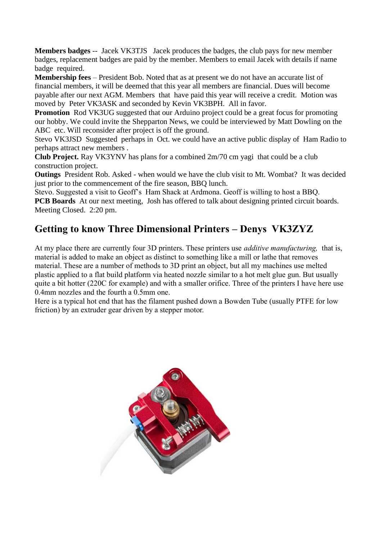**Members badges** -- Jacek VK3TJS Jacek produces the badges, the club pays for new member badges, replacement badges are paid by the member. Members to email Jacek with details if name badge required.

**Membership fees** – President Bob. Noted that as at present we do not have an accurate list of financial members, it will be deemed that this year all members are financial. Dues will become payable after our next AGM. Members that have paid this year will receive a credit. Motion was moved by Peter VK3ASK and seconded by Kevin VK3BPH. All in favor.

**Promotion** Rod VK3UG suggested that our Arduino project could be a great focus for promoting our hobby. We could invite the Shepparton News, we could be interviewed by Matt Dowling on the ABC etc. Will reconsider after project is off the ground.

Stevo VK3JSD Suggested perhaps in Oct. we could have an active public display of Ham Radio to perhaps attract new members .

**Club Project.** Ray VK3YNV has plans for a combined 2m/70 cm yagi that could be a club construction project.

**Outings** President Rob. Asked - when would we have the club visit to Mt. Wombat? It was decided just prior to the commencement of the fire season, BBQ lunch.

Stevo. Suggested a visit to Geoff's Ham Shack at Ardmona. Geoff is willing to host a BBQ. **PCB Boards** At our next meeting, Josh has offered to talk about designing printed circuit boards. Meeting Closed. 2:20 pm.

# **Getting to know Three Dimensional Printers – Denys VK3ZYZ**

At my place there are currently four 3D printers. These printers use *additive manufacturing,* that is, material is added to make an object as distinct to something like a mill or lathe that removes material. These are a number of methods to 3D print an object, but all my machines use melted plastic applied to a flat build platform via heated nozzle similar to a hot melt glue gun. But usually quite a bit hotter (220C for example) and with a smaller orifice. Three of the printers I have here use 0.4mm nozzles and the fourth a 0.5mm one.

Here is a typical hot end that has the filament pushed down a Bowden Tube (usually PTFE for low friction) by an extruder gear driven by a stepper motor.

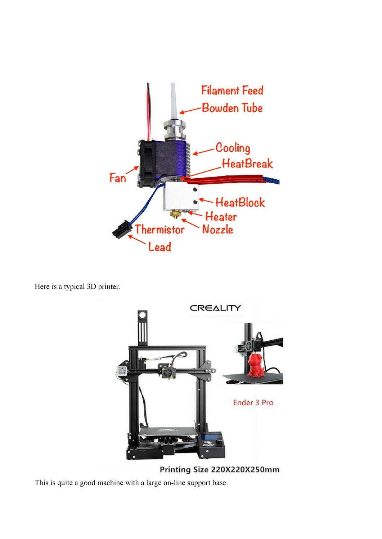

Here is a typical 3D printer.



Printing Size 220X220X250mm

This is quite a good machine with a large on-line support base.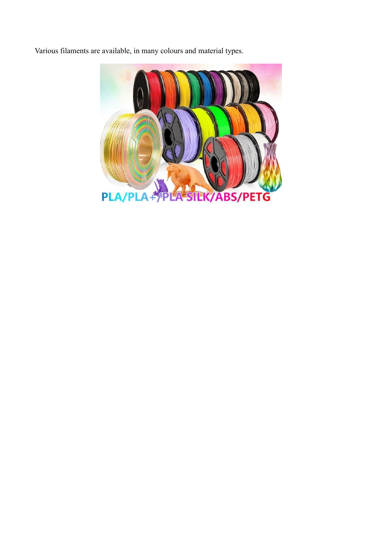Various filaments are available, in many colours and material types.

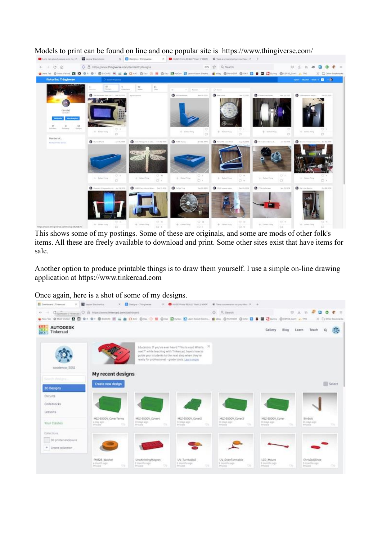

Models to print can be found on line and one popular site is <https://www.thingiverse.com/>

This shows some of my postings. Some of these are originals, and some are mods of other folk's items. All these are freely available to download and print. Some other sites exist that have items for sale.

Another option to produce printable things is to draw them yourself. I use a simple on-line drawing application at [https://www.tinkercad.com](https://www.tinkercad.com/)

Once again, here is a shot of some of my designs.

| <b>EL FreeHouset L'Emersait</b><br>$\infty$                                                                                   | <b>N</b> Aver Enchance                                       | X Editora Tringisera                                  |                                                                                                                                                                                                                                     |                               | X . THE FOUR FORM HUNTER FAILT FAMILY MADE: WE THEN A REPORTED AT 100 Kins. K. |                                                  |        |                                             |                           |
|-------------------------------------------------------------------------------------------------------------------------------|--------------------------------------------------------------|-------------------------------------------------------|-------------------------------------------------------------------------------------------------------------------------------------------------------------------------------------------------------------------------------------|-------------------------------|--------------------------------------------------------------------------------|--------------------------------------------------|--------|---------------------------------------------|---------------------------|
| 60                                                                                                                            | Channell Telesian C B NTER/WWICERROAD CONTINUES CONT         |                                                       |                                                                                                                                                                                                                                     |                               | O. G. Search                                                                   |                                                  |        | <b>日 と in 早</b>                             | $\mathbf{u}$ $\mathbf{e}$ |
| ● Nex to D Maryland 四百0×0×0000 回当自 D MC Box ① 图 Blog Black Black Markhaltens, 自rive Black Box BD B B 国 Box Black Black Little |                                                              |                                                       |                                                                                                                                                                                                                                     |                               |                                                                                |                                                  |        |                                             | 30 C Oller Bankerake      |
| m<br><b>AUTODESK</b><br>ПI<br>Tinkercad<br><b>CITATO</b>                                                                      |                                                              |                                                       |                                                                                                                                                                                                                                     |                               |                                                                                | Gallery                                          | Blog   | Learn<br>Teach                              | ю.<br>٠                   |
| coodenco_5551                                                                                                                 |                                                              |                                                       | Educators: If you've ever heard. "This is cool What's <sup>26</sup><br>next?" while teaching with Tinkercad, here's how to<br>guide your students to the next step when they're<br>ready for professional - grade tools. Learn more |                               |                                                                                |                                                  |        |                                             |                           |
| Search davigns.                                                                                                               | My recent designs<br>Create new design                       |                                                       |                                                                                                                                                                                                                                     |                               |                                                                                |                                                  |        |                                             | 5 Select                  |
| 30 Designs                                                                                                                    |                                                              |                                                       |                                                                                                                                                                                                                                     |                               |                                                                                |                                                  |        |                                             |                           |
| <b>Circuits</b>                                                                                                               |                                                              |                                                       |                                                                                                                                                                                                                                     |                               |                                                                                |                                                  |        |                                             |                           |
| Codeblocks<br>Lessons                                                                                                         |                                                              |                                                       |                                                                                                                                                                                                                                     |                               |                                                                                |                                                  |        |                                             |                           |
| Your Classes                                                                                                                  | M12-5500V_CoverTerms<br>+ Uny High<br><b>Chi</b><br>Pelaging | M12-5500V.Cover4<br>13 days ept-<br>Private           | 13 days ago:<br><b>COL</b><br>Pelaskie                                                                                                                                                                                              | MSZ-5500V_Cover2<br><b>Ok</b> | M12-5500V_Cover3<br>13-days legit                                              | M12-5500V.Cover<br>13 days ago:<br>Private<br>o. | o.     | Bindicit<br>24 days ago<br><b>Drivata</b>   | <b>SE</b>                 |
| Collections:                                                                                                                  |                                                              |                                                       |                                                                                                                                                                                                                                     |                               |                                                                                |                                                  |        |                                             |                           |
| 30 printer enclosure<br>* Create collection                                                                                   |                                                              |                                                       |                                                                                                                                                                                                                                     |                               |                                                                                |                                                  |        |                                             |                           |
|                                                                                                                               | FM828 Wesher<br>ai inspiriti indeli<br><b>SB</b><br>Privata: | UnaKnittingMagnet<br>2 months ago.<br><b>Privata:</b> | 1/V_Turritable2<br>2 Honda's ago.<br>œ<br><b><i>Evisyata</i></b>                                                                                                                                                                    | <b>Co</b>                     | <b>UV.DvenTurntable</b><br>2 months with<br><b>Private</b>                     | LCD: Mount<br>2 ministri ago<br>Webcatter.       | $\sim$ | ChrisDollShoe<br>3 Holettia alge<br>Privata | ×                         |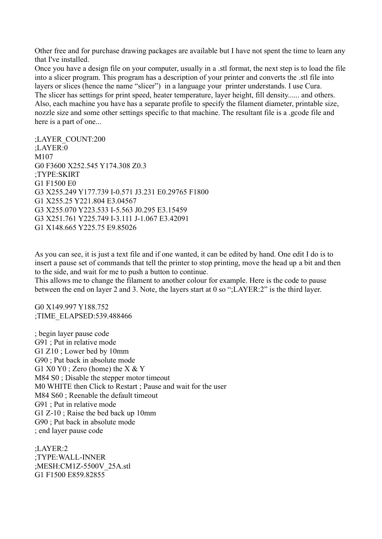Other free and for purchase drawing packages are available but I have not spent the time to learn any that I've installed.

Once you have a design file on your computer, usually in a .stl format, the next step is to load the file into a slicer program. This program has a description of your printer and converts the .stl file into layers or slices (hence the name "slicer") in a language your printer understands. I use Cura. The slicer has settings for print speed, heater temperature, layer height, fill density...... and others. Also, each machine you have has a separate profile to specify the filament diameter, printable size, nozzle size and some other settings specific to that machine. The resultant file is a .gcode file and here is a part of one...

;LAYER\_COUNT:200 ;LAYER:0 M<sub>107</sub> G0 F3600 X252.545 Y174.308 Z0.3 ;TYPE:SKIRT G1 F1500 E0 G3 X255.249 Y177.739 I-0.571 J3.231 E0.29765 F1800 G1 X255.25 Y221.804 E3.04567 G3 X255.070 Y223.533 I-5.563 J0.295 E3.15459 G3 X251.761 Y225.749 I-3.111 J-1.067 E3.42091 G1 X148.665 Y225.75 E9.85026

As you can see, it is just a text file and if one wanted, it can be edited by hand. One edit I do is to insert a pause set of commands that tell the printer to stop printing, move the head up a bit and then to the side, and wait for me to push a button to continue.

This allows me to change the filament to another colour for example. Here is the code to pause between the end on layer 2 and 3. Note, the layers start at 0 so ";LAYER:2" is the third layer.

G0 X149.997 Y188.752 ;TIME\_ELAPSED:539.488466

; begin layer pause code G91 ; Put in relative mode G1 Z10 ; Lower bed by 10mm G90 ; Put back in absolute mode G1  $X0 Y0$ ; Zero (home) the  $X & Y$ M84 S0 ; Disable the stepper motor timeout M0 WHITE then Click to Restart ; Pause and wait for the user M84 S60 ; Reenable the default timeout G91 ; Put in relative mode G1 Z-10 ; Raise the bed back up 10mm G90 ; Put back in absolute mode ; end layer pause code

;LAYER:2 ;TYPE:WALL-INNER ;MESH:CM1Z-5500V\_25A.stl G1 F1500 E859.82855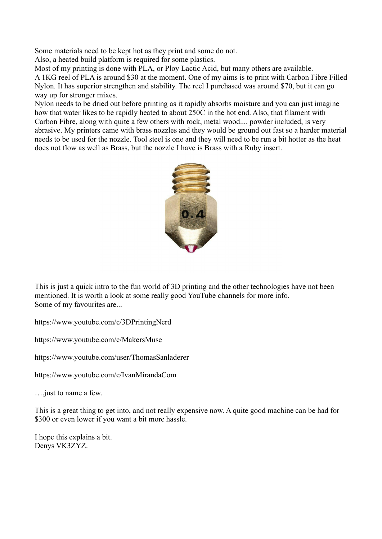Some materials need to be kept hot as they print and some do not.

Also, a heated build platform is required for some plastics.

Most of my printing is done with PLA, or Ploy Lactic Acid, but many others are available. A 1KG reel of PLA is around \$30 at the moment. One of my aims is to print with Carbon Fibre Filled Nylon. It has superior strengthen and stability. The reel I purchased was around \$70, but it can go way up for stronger mixes.

Nylon needs to be dried out before printing as it rapidly absorbs moisture and you can just imagine how that water likes to be rapidly heated to about 250C in the hot end. Also, that filament with Carbon Fibre, along with quite a few others with rock, metal wood.... powder included, is very abrasive. My printers came with brass nozzles and they would be ground out fast so a harder material needs to be used for the nozzle. Tool steel is one and they will need to be run a bit hotter as the heat does not flow as well as Brass, but the nozzle I have is Brass with a Ruby insert.



This is just a quick intro to the fun world of 3D printing and the other technologies have not been mentioned. It is worth a look at some really good YouTube channels for more info. Some of my favourites are...

<https://www.youtube.com/c/3DPrintingNerd>

<https://www.youtube.com/c/MakersMuse>

<https://www.youtube.com/user/ThomasSanladerer>

<https://www.youtube.com/c/IvanMirandaCom>

….just to name a few.

This is a great thing to get into, and not really expensive now. A quite good machine can be had for \$300 or even lower if you want a bit more hassle.

I hope this explains a bit. Denys VK3ZYZ.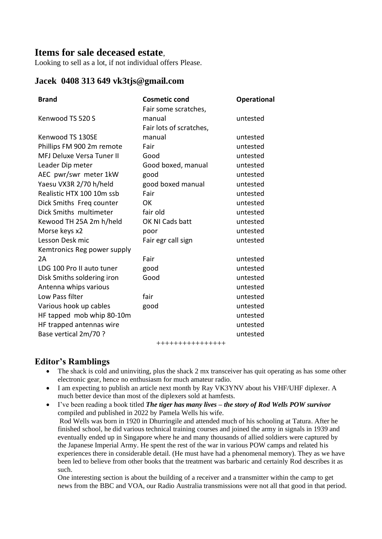# **Items for sale deceased estate**,

Looking to sell as a lot, if not individual offers Please.

#### **Jacek 0408 313 649 vk3tjs@gmail.com**

| <b>Brand</b>                     | <b>Cosmetic cond</b>    | <b>Operational</b> |
|----------------------------------|-------------------------|--------------------|
|                                  | Fair some scratches,    |                    |
| Kenwood TS 520 S                 | manual                  | untested           |
|                                  | Fair lots of scratches, |                    |
| Kenwood TS 130SE                 | manual                  | untested           |
| Phillips FM 900 2m remote        | Fair                    | untested           |
| <b>MFJ Deluxe Versa Tuner II</b> | Good                    | untested           |
| Leader Dip meter                 | Good boxed, manual      | untested           |
| AEC pwr/swr meter 1kW            | good                    | untested           |
| Yaesu VX3R 2/70 h/held           | good boxed manual       | untested           |
| Realistic HTX 100 10m ssb        | Fair                    | untested           |
| Dick Smiths Freq counter         | OK.                     | untested           |
| Dick Smiths multimeter           | fair old                | untested           |
| Kewood TH 25A 2m h/held          | OK NI Cads batt         | untested           |
| Morse keys x2                    | poor                    | untested           |
| Lesson Desk mic                  | Fair egr call sign      | untested           |
| Kemtronics Reg power supply      |                         |                    |
| 2A                               | Fair                    | untested           |
| LDG 100 Pro II auto tuner        | good                    | untested           |
| Disk Smiths soldering iron       | Good                    | untested           |
| Antenna whips various            |                         | untested           |
| Low Pass filter                  | fair                    | untested           |
| Various hook up cables           | good                    | untested           |
| HF tapped mob whip 80-10m        |                         | untested           |
| HF trapped antennas wire         |                         | untested           |
| Base vertical 2m/70 ?            |                         | untested           |

++++++++++++++++

# **Editor's Ramblings**

- The shack is cold and uninviting, plus the shack 2 mx transceiver has quit operating as has some other electronic gear, hence no enthusiasm for much amateur radio.
- I am expecting to publish an article next month by Ray VK3YNV about his VHF/UHF diplexer. A much better device than most of the diplexers sold at hamfests.

• I've been reading a book titled *The tiger has many lives – the story of Rod Wells POW survivor* compiled and published in 2022 by Pamela Wells his wife. Rod Wells was born in 1920 in Dhurringile and attended much of his schooling at Tatura. After he finished school, he did various technical training courses and joined the army in signals in 1939 and eventually ended up in Singapore where he and many thousands of allied soldiers were captured by the Japanese Imperial Army. He spent the rest of the war in various POW camps and related his experiences there in considerable detail. (He must have had a phenomenal memory). They as we have been led to believe from other books that the treatment was barbaric and certainly Rod describes it as such.

One interesting section is about the building of a receiver and a transmitter within the camp to get news from the BBC and VOA, our Radio Australia transmissions were not all that good in that period.